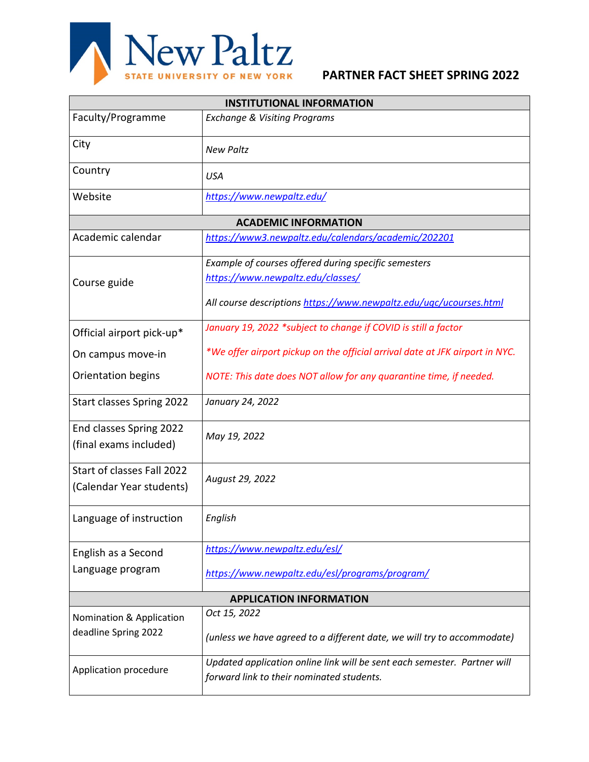

| <b>INSTITUTIONAL INFORMATION</b>                       |                                                                                                                       |  |  |
|--------------------------------------------------------|-----------------------------------------------------------------------------------------------------------------------|--|--|
| Faculty/Programme                                      | <b>Exchange &amp; Visiting Programs</b>                                                                               |  |  |
| City                                                   | <b>New Paltz</b>                                                                                                      |  |  |
| Country                                                | <b>USA</b>                                                                                                            |  |  |
| Website                                                | https://www.newpaltz.edu/                                                                                             |  |  |
| <b>ACADEMIC INFORMATION</b>                            |                                                                                                                       |  |  |
| Academic calendar                                      | https://www3.newpaltz.edu/calendars/academic/202201                                                                   |  |  |
| Course guide                                           | Example of courses offered during specific semesters                                                                  |  |  |
|                                                        | https://www.newpaltz.edu/classes/                                                                                     |  |  |
|                                                        | All course descriptions https://www.newpaltz.edu/ugc/ucourses.html                                                    |  |  |
| Official airport pick-up*                              | January 19, 2022 *subject to change if COVID is still a factor                                                        |  |  |
| On campus move-in                                      | *We offer airport pickup on the official arrival date at JFK airport in NYC.                                          |  |  |
| Orientation begins                                     | NOTE: This date does NOT allow for any quarantine time, if needed.                                                    |  |  |
| <b>Start classes Spring 2022</b>                       | January 24, 2022                                                                                                      |  |  |
| End classes Spring 2022<br>(final exams included)      | May 19, 2022                                                                                                          |  |  |
| Start of classes Fall 2022<br>(Calendar Year students) | August 29, 2022                                                                                                       |  |  |
| Language of instruction                                | English                                                                                                               |  |  |
| English as a Second                                    | https://www.newpaltz.edu/esl/                                                                                         |  |  |
| Language program                                       | https://www.newpaltz.edu/esl/programs/program/                                                                        |  |  |
| <b>APPLICATION INFORMATION</b>                         |                                                                                                                       |  |  |
| Nomination & Application                               | Oct 15, 2022                                                                                                          |  |  |
| deadline Spring 2022                                   | (unless we have agreed to a different date, we will try to accommodate)                                               |  |  |
| Application procedure                                  | Updated application online link will be sent each semester. Partner will<br>forward link to their nominated students. |  |  |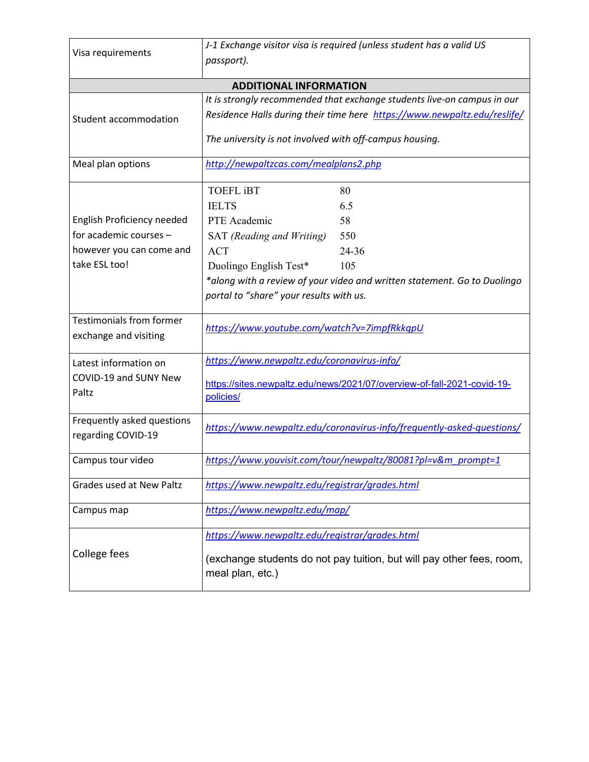| Visa requirements                                        | J-1 Exchange visitor visa is required (unless student has a valid US                                                                        |  |  |
|----------------------------------------------------------|---------------------------------------------------------------------------------------------------------------------------------------------|--|--|
|                                                          | passport).                                                                                                                                  |  |  |
|                                                          |                                                                                                                                             |  |  |
| <b>ADDITIONAL INFORMATION</b>                            |                                                                                                                                             |  |  |
|                                                          | It is strongly recommended that exchange students live-on campus in our                                                                     |  |  |
| Student accommodation                                    | Residence Halls during their time here https://www.newpaltz.edu/reslife/                                                                    |  |  |
|                                                          | The university is not involved with off-campus housing.                                                                                     |  |  |
| Meal plan options                                        | http://newpaltzcas.com/mealplans2.php                                                                                                       |  |  |
|                                                          | <b>TOEFL iBT</b><br>80                                                                                                                      |  |  |
|                                                          | <b>IELTS</b><br>6.5                                                                                                                         |  |  |
| English Proficiency needed                               | PTE Academic<br>58                                                                                                                          |  |  |
| for academic courses -                                   | SAT (Reading and Writing)<br>550                                                                                                            |  |  |
| however you can come and                                 | <b>ACT</b><br>24-36                                                                                                                         |  |  |
| take ESL too!                                            | Duolingo English Test*<br>105                                                                                                               |  |  |
|                                                          | *along with a review of your video and written statement. Go to Duolingo<br>portal to "share" your results with us.                         |  |  |
| <b>Testimonials from former</b><br>exchange and visiting | https://www.youtube.com/watch?v=7impfRkkqpU                                                                                                 |  |  |
| Latest information on                                    | https://www.newpaltz.edu/coronavirus-info/                                                                                                  |  |  |
| COVID-19 and SUNY New<br>Paltz                           | https://sites.newpaltz.edu/news/2021/07/overview-of-fall-2021-covid-19-<br>policies/                                                        |  |  |
| Frequently asked questions<br>regarding COVID-19         | https://www.newpaltz.edu/coronavirus-info/frequently-asked-questions/                                                                       |  |  |
| Campus tour video                                        | https://www.youvisit.com/tour/newpaltz/80081?pl=v&m_prompt=1                                                                                |  |  |
| <b>Grades used at New Paltz</b>                          | https://www.newpaltz.edu/registrar/grades.html                                                                                              |  |  |
| Campus map                                               | https://www.newpaltz.edu/map/                                                                                                               |  |  |
| College fees                                             | https://www.newpaltz.edu/registrar/grades.html<br>(exchange students do not pay tuition, but will pay other fees, room,<br>meal plan, etc.) |  |  |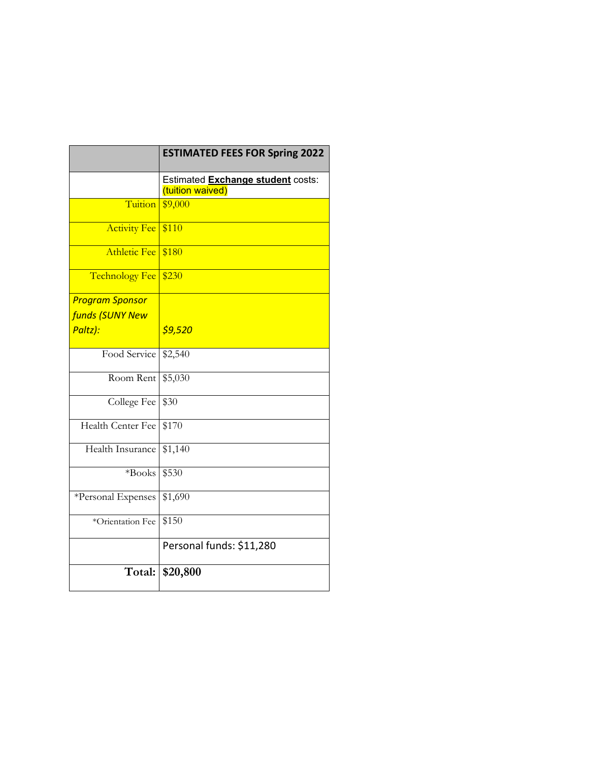|                          | <b>ESTIMATED FEES FOR Spring 2022</b>                 |
|--------------------------|-------------------------------------------------------|
|                          | Estimated Exchange student costs:<br>(tuition waived) |
| Tuition                  | \$9,000                                               |
| <b>Activity Fee</b>      | \$110                                                 |
| <b>Athletic Fee</b>      | \$180                                                 |
| <b>Technology Fee</b>    | \$230                                                 |
| <b>Program Sponsor</b>   |                                                       |
| <b>funds (SUNY New</b>   |                                                       |
| Paltz):                  | \$9,520                                               |
| Food Service             | \$2,540                                               |
| Room Rent                | \$5,030                                               |
| College Fee              | \$30                                                  |
| <b>Health Center Fee</b> | \$170                                                 |
| Health Insurance         | \$1,140                                               |
| *Books                   | \$530                                                 |
| *Personal Expenses       | \$1,690                                               |
| *Orientation Fee         | \$150                                                 |
|                          | Personal funds: \$11,280                              |
|                          | Total: \$20,800                                       |